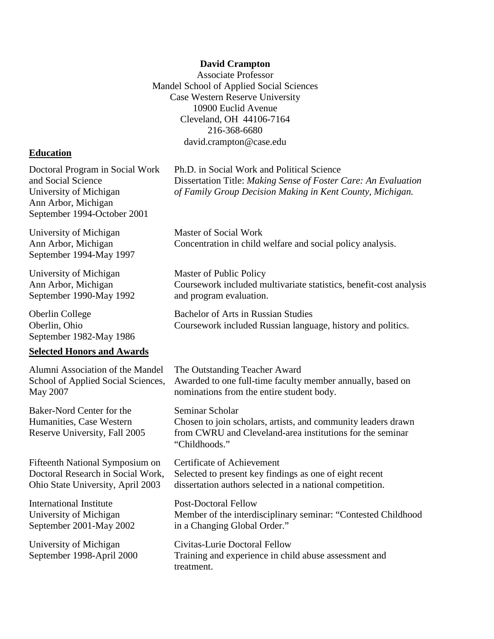#### **David Crampton**

Associate Professor Mandel School of Applied Social Sciences Case Western Reserve University 10900 Euclid Avenue Cleveland, OH 44106-7164 216-368-6680 david.crampton@case.edu

#### **Education**

Doctoral Program in Social Work and Social Science University of Michigan Ann Arbor, Michigan September 1994-October 2001

University of Michigan Ann Arbor, Michigan September 1994-May 1997

University of Michigan Ann Arbor, Michigan September 1990-May 1992

Oberlin College Oberlin, Ohio September 1982-May 1986

#### **Selected Honors and Awards**

Alumni Association of the Mandel School of Applied Social Sciences, May 2007

Baker-Nord Center for the Humanities, Case Western Reserve University, Fall 2005

Fifteenth National Symposium on Doctoral Research in Social Work, Ohio State University, April 2003

International Institute University of Michigan September 2001-May 2002

University of Michigan September 1998-April 2000 Ph.D. in Social Work and Political Science Dissertation Title: *Making Sense of Foster Care: An Evaluation of Family Group Decision Making in Kent County, Michigan.*

Master of Social Work Concentration in child welfare and social policy analysis.

Master of Public Policy Coursework included multivariate statistics, benefit-cost analysis and program evaluation.

Bachelor of Arts in Russian Studies Coursework included Russian language, history and politics.

The Outstanding Teacher Award Awarded to one full-time faculty member annually, based on nominations from the entire student body.

Seminar Scholar Chosen to join scholars, artists, and community leaders drawn from CWRU and Cleveland-area institutions for the seminar "Childhoods."

Certificate of Achievement Selected to present key findings as one of eight recent dissertation authors selected in a national competition.

Post-Doctoral Fellow Member of the interdisciplinary seminar: "Contested Childhood in a Changing Global Order."

Civitas-Lurie Doctoral Fellow Training and experience in child abuse assessment and treatment.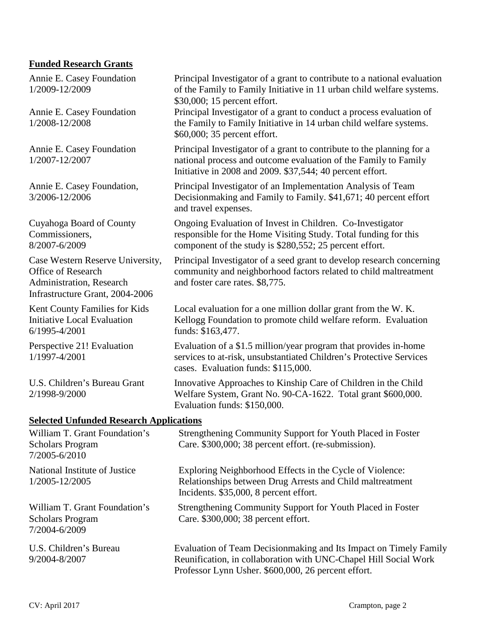### **Funded Research Grants**

Annie E. Casey Foundation 1/2009-12/2009

Annie E. Casey Foundation 1/2008-12/2008

Annie E. Casey Foundation 1/2007-12/2007

Annie E. Casey Foundation, 3/2006-12/2006

Cuyahoga Board of County Commissioners, 8/2007-6/2009

Case Western Reserve University, Office of Research Administration, Research Infrastructure Grant, 2004-2006

Kent County Families for Kids Initiative Local Evaluation 6/1995-4/2001

Perspective 21! Evaluation 1/1997-4/2001

U.S. Children's Bureau Grant 2/1998-9/2000

#### **Selected Unfunded Research Applications**

| William T. Grant Foundation's<br><b>Scholars Program</b><br>7/2005-6/2010 | Strengthening Community Support for Youth Placed in Foster<br>Care. \$300,000; 38 percent effort. (re-submission).                                                                            |
|---------------------------------------------------------------------------|-----------------------------------------------------------------------------------------------------------------------------------------------------------------------------------------------|
| National Institute of Justice<br>1/2005-12/2005                           | Exploring Neighborhood Effects in the Cycle of Violence:<br>Relationships between Drug Arrests and Child maltreatment<br>Incidents. \$35,000, 8 percent effort.                               |
| William T. Grant Foundation's<br><b>Scholars Program</b><br>7/2004-6/2009 | Strengthening Community Support for Youth Placed in Foster<br>Care. \$300,000; 38 percent effort.                                                                                             |
| U.S. Children's Bureau<br>9/2004-8/2007                                   | Evaluation of Team Decision making and Its Impact on Timely Family<br>Reunification, in collaboration with UNC-Chapel Hill Social Work<br>Professor Lynn Usher. \$600,000, 26 percent effort. |

Principal Investigator of a grant to contribute to a national evaluation of the Family to Family Initiative in 11 urban child welfare systems.

Principal Investigator of a grant to conduct a process evaluation of the Family to Family Initiative in 14 urban child welfare systems.

Principal Investigator of a grant to contribute to the planning for a national process and outcome evaluation of the Family to Family

Principal Investigator of an Implementation Analysis of Team Decisionmaking and Family to Family. \$41,671; 40 percent effort

Ongoing Evaluation of Invest in Children. Co-Investigator responsible for the Home Visiting Study. Total funding for this

Local evaluation for a one million dollar grant from the W. K. Kellogg Foundation to promote child welfare reform. Evaluation

Evaluation of a \$1.5 million/year program that provides in-home services to at-risk, unsubstantiated Children's Protective Services

Innovative Approaches to Kinship Care of Children in the Child Welfare System, Grant No. 90-CA-1622. Total grant \$600,000.

Principal Investigator of a seed grant to develop research concerning community and neighborhood factors related to child maltreatment

component of the study is \$280,552; 25 percent effort.

Initiative in 2008 and 2009. \$37,544; 40 percent effort.

\$30,000; 15 percent effort.

\$60,000; 35 percent effort.

and travel expenses.

funds: \$163,477.

and foster care rates. \$8,775.

cases. Evaluation funds: \$115,000.

Evaluation funds: \$150,000.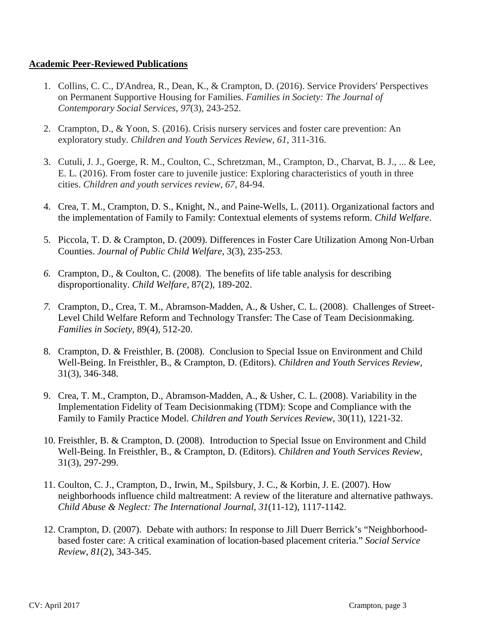### **Academic Peer-Reviewed Publications**

- 1. Collins, C. C., D'Andrea, R., Dean, K., & Crampton, D. (2016). Service Providers' Perspectives on Permanent Supportive Housing for Families. *Families in Society: The Journal of Contemporary Social Services*, *97*(3), 243-252.
- 2. Crampton, D., & Yoon, S. (2016). Crisis nursery services and foster care prevention: An exploratory study. *Children and Youth Services Review*, *61*, 311-316.
- 3. Cutuli, J. J., Goerge, R. M., Coulton, C., Schretzman, M., Crampton, D., Charvat, B. J., ... & Lee, E. L. (2016). From foster care to juvenile justice: Exploring characteristics of youth in three cities. *Children and youth services review*, *67*, 84-94.
- 4. Crea, T. M., Crampton, D. S., Knight, N., and Paine-Wells, L. (2011). Organizational factors and the implementation of Family to Family: Contextual elements of systems reform. *Child Welfare*.
- 5. Piccola, T. D. & Crampton, D. (2009). Differences in Foster Care Utilization Among Non-Urban Counties. *Journal of Public Child Welfare*, 3(3), 235-253.
- *6.* Crampton, D., & Coulton, C. (2008). The benefits of life table analysis for describing disproportionality. *Child Welfare,* 87(2), 189-202.
- *7.* Crampton, D., Crea, T. M., Abramson-Madden, A., & Usher, C. L. (2008). Challenges of Street-Level Child Welfare Reform and Technology Transfer: The Case of Team Decisionmaking. *Families in Society,* 89(4), 512-20.
- 8. Crampton, D. & Freisthler, B. (2008). Conclusion to Special Issue on Environment and Child Well-Being. In Freisthler, B., & Crampton, D. (Editors). *Children and Youth Services Review,* 31(3), 346-348.
- 9. Crea, T. M., Crampton, D., Abramson-Madden, A., & Usher, C. L. (2008). Variability in the Implementation Fidelity of Team Decisionmaking (TDM): Scope and Compliance with the Family to Family Practice Model. *Children and Youth Services Review*, 30(11), 1221-32.
- 10. Freisthler, B. & Crampton, D. (2008). Introduction to Special Issue on Environment and Child Well-Being. In Freisthler, B., & Crampton, D. (Editors). *Children and Youth Services Review,* 31(3), 297-299.
- 11. Coulton, C. J., Crampton, D., Irwin, M., Spilsbury, J. C., & Korbin, J. E. (2007). How neighborhoods influence child maltreatment: A review of the literature and alternative pathways. *Child Abuse & Neglect: The International Journal*, *31*(11-12), 1117-1142.
- 12. Crampton, D. (2007). Debate with authors: In response to Jill Duerr Berrick's "Neighborhoodbased foster care: A critical examination of location-based placement criteria." *Social Service Review*, *81*(2), 343-345.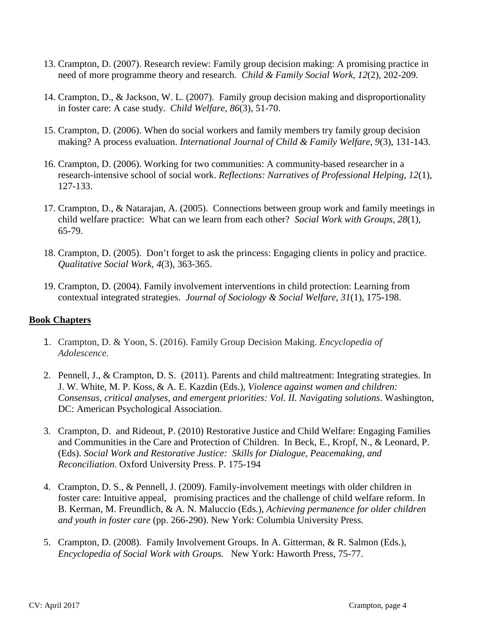- 13. Crampton, D. (2007). Research review: Family group decision making: A promising practice in need of more programme theory and research. *Child & Family Social Work, 12*(2), 202-209.
- 14. Crampton, D., & Jackson, W. L. (2007). Family group decision making and disproportionality in foster care: A case study. *Child Welfare*, *86*(3), 51-70.
- 15. Crampton, D. (2006). When do social workers and family members try family group decision making? A process evaluation. *International Journal of Child & Family Welfare*, *9*(3), 131-143.
- 16. Crampton, D. (2006). Working for two communities: A community-based researcher in a research-intensive school of social work. *Reflections: Narratives of Professional Helping, 12*(1), 127-133.
- 17. Crampton, D., & Natarajan, A. (2005). Connections between group work and family meetings in child welfare practice: What can we learn from each other? *Social Work with Groups*, *28*(1), 65-79.
- 18. Crampton, D. (2005). Don't forget to ask the princess: Engaging clients in policy and practice. *Qualitative Social Work, 4*(3), 363-365.
- 19. Crampton, D. (2004). Family involvement interventions in child protection: Learning from contextual integrated strategies. *Journal of Sociology & Social Welfare*, *31*(1), 175-198.

# **Book Chapters**

- 1. Crampton, D. & Yoon, S. (2016). Family Group Decision Making. *Encyclopedia of Adolescence.*
- 2. Pennell, J., & Crampton, D. S. (2011). Parents and child maltreatment: Integrating strategies. In J. W. White, M. P. Koss, & A. E. Kazdin (Eds.), *Violence against women and children: Consensus, critical analyses, and emergent priorities: Vol. II. Navigating solutions*. Washington, DC: American Psychological Association.
- 3. Crampton, D. and Rideout, P. (2010) Restorative Justice and Child Welfare: Engaging Families and Communities in the Care and Protection of Children. In Beck, E., Kropf, N., & Leonard, P. (Eds). *Social Work and Restorative Justice: Skills for Dialogue, Peacemaking, and Reconciliation*. Oxford University Press. P. 175-194
- 4. Crampton, D. S., & Pennell, J. (2009). Family-involvement meetings with older children in foster care: Intuitive appeal, promising practices and the challenge of child welfare reform. In B. Kerman, M. Freundlich, & A. N. Maluccio (Eds.), *Achieving permanence for older children and youth in foster care* (pp. 266-290). New York: Columbia University Press.
- 5. Crampton, D. (2008). Family Involvement Groups. In A. Gitterman, & R. Salmon (Eds.), *Encyclopedia of Social Work with Groups.* New York: Haworth Press, 75-77.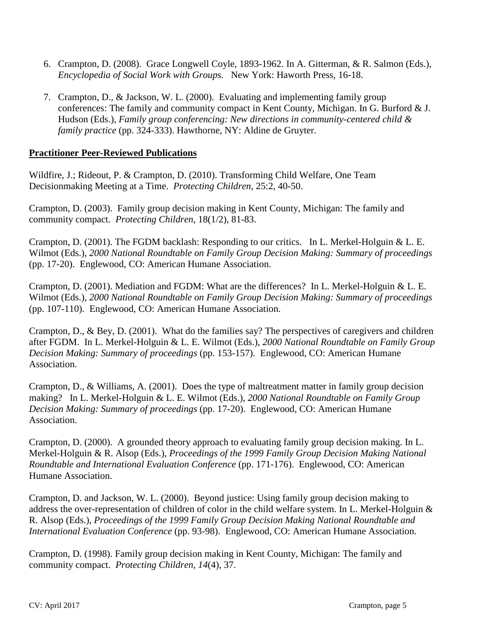- 6. Crampton, D. (2008). Grace Longwell Coyle, 1893-1962. In A. Gitterman, & R. Salmon (Eds.), *Encyclopedia of Social Work with Groups.* New York: Haworth Press, 16-18.
- 7. Crampton, D., & Jackson, W. L. (2000). Evaluating and implementing family group conferences: The family and community compact in Kent County, Michigan. In G. Burford & J. Hudson (Eds.), *Family group conferencing: New directions in community-centered child & family practice* (pp. 324-333). Hawthorne, NY: Aldine de Gruyter.

## **Practitioner Peer-Reviewed Publications**

Wildfire, J.; Rideout, P. & Crampton, D. (2010). Transforming Child Welfare, One Team Decisionmaking Meeting at a Time. *Protecting Children*, 25:2, 40-50.

Crampton, D. (2003). Family group decision making in Kent County, Michigan: The family and community compact. *Protecting Children*, 18(1/2), 81-83.

Crampton, D. (2001). The FGDM backlash: Responding to our critics. In L. Merkel-Holguin & L. E. Wilmot (Eds.), *2000 National Roundtable on Family Group Decision Making: Summary of proceedings*  (pp. 17-20). Englewood, CO: American Humane Association.

Crampton, D. (2001). Mediation and FGDM: What are the differences? In L. Merkel-Holguin & L. E. Wilmot (Eds.), *2000 National Roundtable on Family Group Decision Making: Summary of proceedings* (pp. 107-110). Englewood, CO: American Humane Association.

Crampton, D., & Bey, D. (2001). What do the families say? The perspectives of caregivers and children after FGDM. In L. Merkel-Holguin & L. E. Wilmot (Eds.), *2000 National Roundtable on Family Group Decision Making: Summary of proceedings* (pp. 153-157). Englewood, CO: American Humane Association.

Crampton, D., & Williams, A. (2001). Does the type of maltreatment matter in family group decision making? In L. Merkel-Holguin & L. E. Wilmot (Eds.), *2000 National Roundtable on Family Group Decision Making: Summary of proceedings* (pp. 17-20). Englewood, CO: American Humane Association.

Crampton, D. (2000). A grounded theory approach to evaluating family group decision making. In L. Merkel-Holguin & R. Alsop (Eds.), *Proceedings of the 1999 Family Group Decision Making National Roundtable and International Evaluation Conference* (pp. 171-176). Englewood, CO: American Humane Association.

Crampton, D. and Jackson, W. L. (2000). Beyond justice: Using family group decision making to address the over-representation of children of color in the child welfare system. In L. Merkel-Holguin & R. Alsop (Eds.), *Proceedings of the 1999 Family Group Decision Making National Roundtable and International Evaluation Conference* (pp. 93-98). Englewood, CO: American Humane Association.

Crampton, D. (1998). Family group decision making in Kent County, Michigan: The family and community compact. *Protecting Children, 14*(4), 37.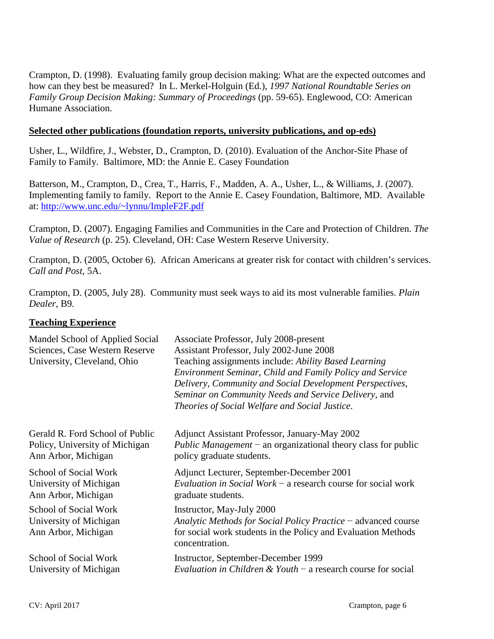Crampton, D. (1998). Evaluating family group decision making: What are the expected outcomes and how can they best be measured? In L. Merkel-Holguin (Ed.), *1997 National Roundtable Series on Family Group Decision Making: Summary of Proceedings* (pp. 59-65). Englewood, CO: American Humane Association.

### **Selected other publications (foundation reports, university publications, and op-eds)**

Usher, L., Wildfire, J., Webster, D., Crampton, D. (2010). Evaluation of the Anchor-Site Phase of Family to Family. Baltimore, MD: the Annie E. Casey Foundation

Batterson, M., Crampton, D., Crea, T., Harris, F., Madden, A. A., Usher, L., & Williams, J. (2007). Implementing family to family. Report to the Annie E. Casey Foundation, Baltimore, MD. Available at: [http://www.unc.edu/~lynnu/ImpleF2F.pdf](http://www.unc.edu/%7Elynnu/ImpleF2F.pdf)

Crampton, D. (2007). Engaging Families and Communities in the Care and Protection of Children. *The Value of Research* (p. 25). Cleveland, OH: Case Western Reserve University.

Crampton, D. (2005, October 6). African Americans at greater risk for contact with children's services. *Call and Post*, 5A.

Crampton, D. (2005, July 28). Community must seek ways to aid its most vulnerable families. *Plain Dealer*, B9.

## **Teaching Experience**

| Mandel School of Applied Social<br>Sciences, Case Western Reserve<br>University, Cleveland, Ohio | Associate Professor, July 2008-present<br>Assistant Professor, July 2002-June 2008<br>Teaching assignments include: Ability Based Learning<br>Environment Seminar, Child and Family Policy and Service<br>Delivery, Community and Social Development Perspectives,<br>Seminar on Community Needs and Service Delivery, and<br>Theories of Social Welfare and Social Justice. |
|--------------------------------------------------------------------------------------------------|------------------------------------------------------------------------------------------------------------------------------------------------------------------------------------------------------------------------------------------------------------------------------------------------------------------------------------------------------------------------------|
| Gerald R. Ford School of Public                                                                  | Adjunct Assistant Professor, January-May 2002                                                                                                                                                                                                                                                                                                                                |
| Policy, University of Michigan                                                                   | <i>Public Management</i> $-$ an organizational theory class for public                                                                                                                                                                                                                                                                                                       |
| Ann Arbor, Michigan                                                                              | policy graduate students.                                                                                                                                                                                                                                                                                                                                                    |
| School of Social Work                                                                            | Adjunct Lecturer, September-December 2001                                                                                                                                                                                                                                                                                                                                    |
| University of Michigan                                                                           | Evaluation in Social Work – a research course for social work                                                                                                                                                                                                                                                                                                                |
| Ann Arbor, Michigan                                                                              | graduate students.                                                                                                                                                                                                                                                                                                                                                           |
| School of Social Work<br>University of Michigan<br>Ann Arbor, Michigan                           | Instructor, May-July 2000<br>Analytic Methods for Social Policy Practice – advanced course<br>for social work students in the Policy and Evaluation Methods<br>concentration.                                                                                                                                                                                                |
| School of Social Work                                                                            | Instructor, September-December 1999                                                                                                                                                                                                                                                                                                                                          |
| University of Michigan                                                                           | Evaluation in Children & Youth $-$ a research course for social                                                                                                                                                                                                                                                                                                              |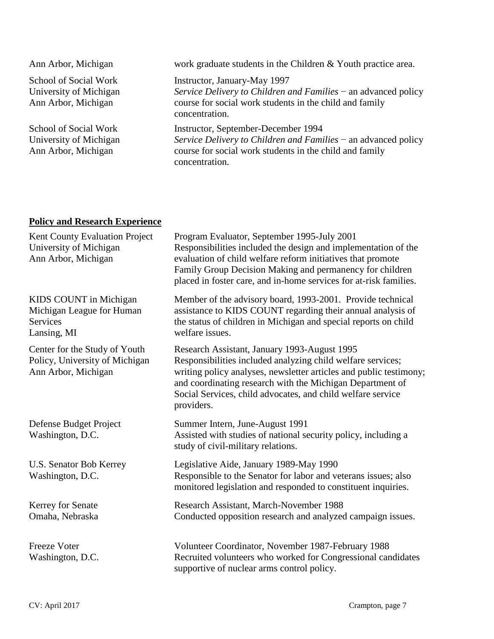| Ann Arbor, Michigan                                                    | work graduate students in the Children & Youth practice area.                                                                                                                        |
|------------------------------------------------------------------------|--------------------------------------------------------------------------------------------------------------------------------------------------------------------------------------|
| School of Social Work<br>University of Michigan<br>Ann Arbor, Michigan | Instructor, January-May 1997<br>Service Delivery to Children and Families $-$ an advanced policy<br>course for social work students in the child and family<br>concentration.        |
| School of Social Work<br>University of Michigan<br>Ann Arbor, Michigan | Instructor, September-December 1994<br>Service Delivery to Children and Families $-$ an advanced policy<br>course for social work students in the child and family<br>concentration. |

# **Policy and Research Experience**

| Kent County Evaluation Project<br>University of Michigan<br>Ann Arbor, Michigan        | Program Evaluator, September 1995-July 2001<br>Responsibilities included the design and implementation of the<br>evaluation of child welfare reform initiatives that promote<br>Family Group Decision Making and permanency for children<br>placed in foster care, and in-home services for at-risk families.               |
|----------------------------------------------------------------------------------------|-----------------------------------------------------------------------------------------------------------------------------------------------------------------------------------------------------------------------------------------------------------------------------------------------------------------------------|
| KIDS COUNT in Michigan<br>Michigan League for Human<br><b>Services</b><br>Lansing, MI  | Member of the advisory board, 1993-2001. Provide technical<br>assistance to KIDS COUNT regarding their annual analysis of<br>the status of children in Michigan and special reports on child<br>welfare issues.                                                                                                             |
| Center for the Study of Youth<br>Policy, University of Michigan<br>Ann Arbor, Michigan | Research Assistant, January 1993-August 1995<br>Responsibilities included analyzing child welfare services;<br>writing policy analyses, newsletter articles and public testimony;<br>and coordinating research with the Michigan Department of<br>Social Services, child advocates, and child welfare service<br>providers. |
| Defense Budget Project<br>Washington, D.C.                                             | Summer Intern, June-August 1991<br>Assisted with studies of national security policy, including a<br>study of civil-military relations.                                                                                                                                                                                     |
| U.S. Senator Bob Kerrey<br>Washington, D.C.                                            | Legislative Aide, January 1989-May 1990<br>Responsible to the Senator for labor and veterans issues; also<br>monitored legislation and responded to constituent inquiries.                                                                                                                                                  |
| Kerrey for Senate<br>Omaha, Nebraska                                                   | Research Assistant, March-November 1988<br>Conducted opposition research and analyzed campaign issues.                                                                                                                                                                                                                      |
| <b>Freeze Voter</b><br>Washington, D.C.                                                | Volunteer Coordinator, November 1987-February 1988<br>Recruited volunteers who worked for Congressional candidates<br>supportive of nuclear arms control policy.                                                                                                                                                            |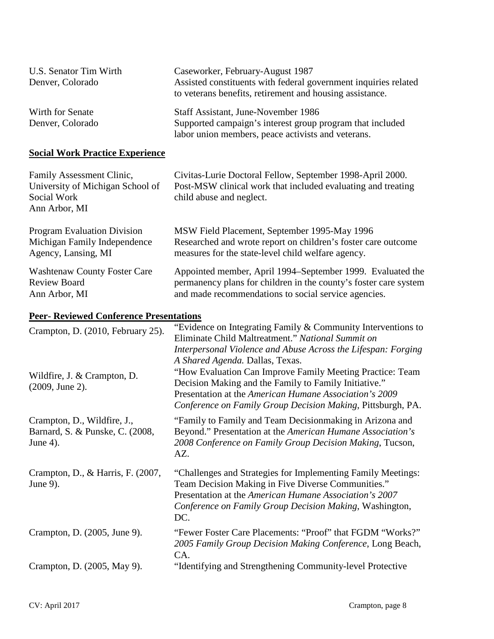| U.S. Senator Tim Wirth<br>Denver, Colorado | Caseworker, February-August 1987<br>Assisted constituents with federal government inquiries related<br>to veterans benefits, retirement and housing assistance. |
|--------------------------------------------|-----------------------------------------------------------------------------------------------------------------------------------------------------------------|
| Wirth for Senate<br>Denver, Colorado       | Staff Assistant, June-November 1986<br>Supported campaign's interest group program that included<br>labor union members, peace activists and veterans.          |

# **Social Work Practice Experience**

| Family Assessment Clinic,           | Civitas-Lurie Doctoral Fellow, September 1998-April 2000.        |
|-------------------------------------|------------------------------------------------------------------|
| University of Michigan School of    | Post-MSW clinical work that included evaluating and treating     |
| Social Work                         | child abuse and neglect.                                         |
| Ann Arbor, MI                       |                                                                  |
| <b>Program Evaluation Division</b>  | MSW Field Placement, September 1995-May 1996                     |
| Michigan Family Independence        | Researched and wrote report on children's foster care outcome    |
| Agency, Lansing, MI                 | measures for the state-level child welfare agency.               |
| <b>Washtenaw County Foster Care</b> | Appointed member, April 1994–September 1999. Evaluated the       |
| <b>Review Board</b>                 | permanency plans for children in the county's foster care system |
| Ann Arbor, MI                       | and made recommendations to social service agencies.             |

# **Peer- Reviewed Conference Presentations**

| Crampton, D. (2010, February 25).                                          | "Evidence on Integrating Family $&$ Community Interventions to<br>Eliminate Child Maltreatment." National Summit on<br>Interpersonal Violence and Abuse Across the Lifespan: Forging                                                                                           |
|----------------------------------------------------------------------------|--------------------------------------------------------------------------------------------------------------------------------------------------------------------------------------------------------------------------------------------------------------------------------|
| Wildfire, J. & Crampton, D.<br>(2009, June 2).                             | A Shared Agenda. Dallas, Texas.<br>"How Evaluation Can Improve Family Meeting Practice: Team<br>Decision Making and the Family to Family Initiative."<br>Presentation at the American Humane Association's 2009<br>Conference on Family Group Decision Making, Pittsburgh, PA. |
| Crampton, D., Wildfire, J.,<br>Barnard, S. & Punske, C. (2008,<br>June 4). | "Family to Family and Team Decision making in Arizona and<br>Beyond." Presentation at the American Humane Association's<br>2008 Conference on Family Group Decision Making, Tucson,<br>AZ.                                                                                     |
| Crampton, D., & Harris, F. (2007,<br>June 9).                              | "Challenges and Strategies for Implementing Family Meetings:<br>Team Decision Making in Five Diverse Communities."<br>Presentation at the American Humane Association's 2007<br>Conference on Family Group Decision Making, Washington,<br>DC.                                 |
| Crampton, D. (2005, June 9).                                               | "Fewer Foster Care Placements: "Proof" that FGDM "Works?"<br>2005 Family Group Decision Making Conference, Long Beach,<br>CA.                                                                                                                                                  |
| Crampton, D. (2005, May 9).                                                | "Identifying and Strengthening Community-level Protective                                                                                                                                                                                                                      |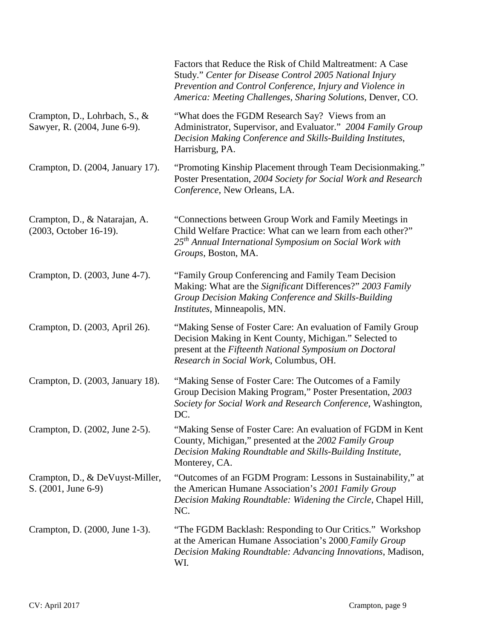|                                                               | Factors that Reduce the Risk of Child Maltreatment: A Case<br>Study." Center for Disease Control 2005 National Injury<br>Prevention and Control Conference, Injury and Violence in<br>America: Meeting Challenges, Sharing Solutions, Denver, CO. |
|---------------------------------------------------------------|---------------------------------------------------------------------------------------------------------------------------------------------------------------------------------------------------------------------------------------------------|
| Crampton, D., Lohrbach, S., &<br>Sawyer, R. (2004, June 6-9). | "What does the FGDM Research Say? Views from an<br>Administrator, Supervisor, and Evaluator." 2004 Family Group<br>Decision Making Conference and Skills-Building Institutes,<br>Harrisburg, PA.                                                  |
| Crampton, D. (2004, January 17).                              | "Promoting Kinship Placement through Team Decisionmaking."<br>Poster Presentation, 2004 Society for Social Work and Research<br>Conference, New Orleans, LA.                                                                                      |
| Crampton, D., & Natarajan, A.<br>(2003, October 16-19).       | "Connections between Group Work and Family Meetings in<br>Child Welfare Practice: What can we learn from each other?"<br>$25th$ Annual International Symposium on Social Work with<br>Groups, Boston, MA.                                         |
| Crampton, D. (2003, June 4-7).                                | "Family Group Conferencing and Family Team Decision<br>Making: What are the Significant Differences?" 2003 Family<br>Group Decision Making Conference and Skills-Building<br>Institutes, Minneapolis, MN.                                         |
| Crampton, D. (2003, April 26).                                | "Making Sense of Foster Care: An evaluation of Family Group<br>Decision Making in Kent County, Michigan." Selected to<br>present at the Fifteenth National Symposium on Doctoral<br>Research in Social Work, Columbus, OH.                        |
| Crampton, D. (2003, January 18).                              | "Making Sense of Foster Care: The Outcomes of a Family<br>Group Decision Making Program," Poster Presentation, 2003<br>Society for Social Work and Research Conference, Washington,<br>DC.                                                        |
| Crampton, D. (2002, June 2-5).                                | "Making Sense of Foster Care: An evaluation of FGDM in Kent<br>County, Michigan," presented at the 2002 Family Group<br>Decision Making Roundtable and Skills-Building Institute,<br>Monterey, CA.                                                |
| Crampton, D., & DeVuyst-Miller,<br>S. (2001, June 6-9)        | "Outcomes of an FGDM Program: Lessons in Sustainability," at<br>the American Humane Association's 2001 Family Group<br>Decision Making Roundtable: Widening the Circle, Chapel Hill,<br>NC.                                                       |
| Crampton, D. (2000, June 1-3).                                | "The FGDM Backlash: Responding to Our Critics." Workshop<br>at the American Humane Association's 2000 Family Group<br>Decision Making Roundtable: Advancing Innovations, Madison,<br>WI.                                                          |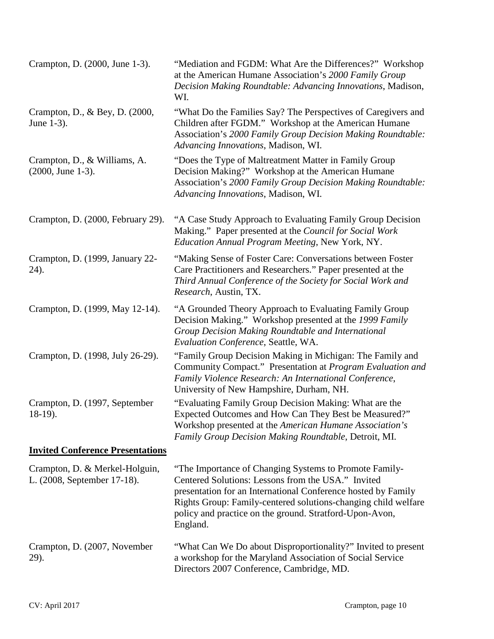| Crampton, D. (2000, June 1-3).                                | "Mediation and FGDM: What Are the Differences?" Workshop<br>at the American Humane Association's 2000 Family Group<br>Decision Making Roundtable: Advancing Innovations, Madison,<br>WI.                                                                                                                               |
|---------------------------------------------------------------|------------------------------------------------------------------------------------------------------------------------------------------------------------------------------------------------------------------------------------------------------------------------------------------------------------------------|
| Crampton, D., & Bey, D. (2000,<br>June 1-3).                  | "What Do the Families Say? The Perspectives of Caregivers and<br>Children after FGDM." Workshop at the American Humane<br>Association's 2000 Family Group Decision Making Roundtable:<br>Advancing Innovations, Madison, WI.                                                                                           |
| Crampton, D., & Williams, A.<br>$(2000, June 1-3).$           | "Does the Type of Maltreatment Matter in Family Group<br>Decision Making?" Workshop at the American Humane<br>Association's 2000 Family Group Decision Making Roundtable:<br>Advancing Innovations, Madison, WI.                                                                                                       |
| Crampton, D. (2000, February 29).                             | "A Case Study Approach to Evaluating Family Group Decision<br>Making." Paper presented at the Council for Social Work<br>Education Annual Program Meeting, New York, NY.                                                                                                                                               |
| Crampton, D. (1999, January 22-<br>24).                       | "Making Sense of Foster Care: Conversations between Foster<br>Care Practitioners and Researchers." Paper presented at the<br>Third Annual Conference of the Society for Social Work and<br>Research, Austin, TX.                                                                                                       |
| Crampton, D. (1999, May 12-14).                               | "A Grounded Theory Approach to Evaluating Family Group<br>Decision Making." Workshop presented at the 1999 Family<br>Group Decision Making Roundtable and International<br>Evaluation Conference, Seattle, WA.                                                                                                         |
| Crampton, D. (1998, July 26-29).                              | "Family Group Decision Making in Michigan: The Family and<br>Community Compact." Presentation at Program Evaluation and<br>Family Violence Research: An International Conference,<br>University of New Hampshire, Durham, NH.                                                                                          |
| Crampton, D. (1997, September<br>$18-19$ ).                   | "Evaluating Family Group Decision Making: What are the<br>Expected Outcomes and How Can They Best be Measured?"<br>Workshop presented at the <i>American Humane Association's</i><br>Family Group Decision Making Roundtable, Detroit, MI.                                                                             |
| <b>Invited Conference Presentations</b>                       |                                                                                                                                                                                                                                                                                                                        |
| Crampton, D. & Merkel-Holguin,<br>L. (2008, September 17-18). | "The Importance of Changing Systems to Promote Family-<br>Centered Solutions: Lessons from the USA." Invited<br>presentation for an International Conference hosted by Family<br>Rights Group: Family-centered solutions-changing child welfare<br>policy and practice on the ground. Stratford-Upon-Avon,<br>England. |
| Crampton, D. (2007, November<br>29).                          | "What Can We Do about Disproportionality?" Invited to present<br>a workshop for the Maryland Association of Social Service<br>Directors 2007 Conference, Cambridge, MD.                                                                                                                                                |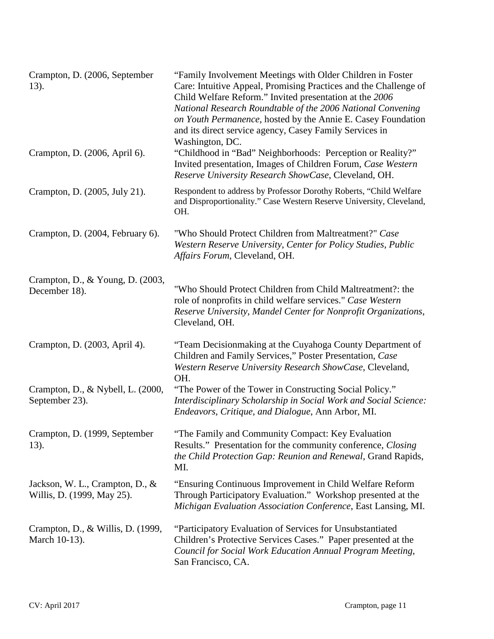| Crampton, D. (2006, September<br>13).                         | "Family Involvement Meetings with Older Children in Foster<br>Care: Intuitive Appeal, Promising Practices and the Challenge of<br>Child Welfare Reform." Invited presentation at the 2006<br>National Research Roundtable of the 2006 National Convening<br>on Youth Permanence, hosted by the Annie E. Casey Foundation<br>and its direct service agency, Casey Family Services in<br>Washington, DC. |
|---------------------------------------------------------------|--------------------------------------------------------------------------------------------------------------------------------------------------------------------------------------------------------------------------------------------------------------------------------------------------------------------------------------------------------------------------------------------------------|
| Crampton, D. (2006, April 6).                                 | "Childhood in "Bad" Neighborhoods: Perception or Reality?"<br>Invited presentation, Images of Children Forum, Case Western<br>Reserve University Research ShowCase, Cleveland, OH.                                                                                                                                                                                                                     |
| Crampton, D. (2005, July 21).                                 | Respondent to address by Professor Dorothy Roberts, "Child Welfare<br>and Disproportionality." Case Western Reserve University, Cleveland,<br>OH.                                                                                                                                                                                                                                                      |
| Crampton, D. (2004, February 6).                              | "Who Should Protect Children from Maltreatment?" Case<br>Western Reserve University, Center for Policy Studies, Public<br>Affairs Forum, Cleveland, OH.                                                                                                                                                                                                                                                |
| Crampton, D., & Young, D. (2003,<br>December 18).             | "Who Should Protect Children from Child Maltreatment?: the<br>role of nonprofits in child welfare services." Case Western<br>Reserve University, Mandel Center for Nonprofit Organizations,<br>Cleveland, OH.                                                                                                                                                                                          |
| Crampton, D. (2003, April 4).                                 | "Team Decisionmaking at the Cuyahoga County Department of<br>Children and Family Services," Poster Presentation, Case<br>Western Reserve University Research ShowCase, Cleveland,<br>OH.                                                                                                                                                                                                               |
| Crampton, D., & Nybell, L. (2000,<br>September 23).           | "The Power of the Tower in Constructing Social Policy."<br>Interdisciplinary Scholarship in Social Work and Social Science:<br>Endeavors, Critique, and Dialogue, Ann Arbor, MI.                                                                                                                                                                                                                       |
| Crampton, D. (1999, September<br>$13)$ .                      | "The Family and Community Compact: Key Evaluation<br>Results." Presentation for the community conference, Closing<br>the Child Protection Gap: Reunion and Renewal, Grand Rapids,<br>MI.                                                                                                                                                                                                               |
| Jackson, W. L., Crampton, D., &<br>Willis, D. (1999, May 25). | "Ensuring Continuous Improvement in Child Welfare Reform<br>Through Participatory Evaluation." Workshop presented at the<br>Michigan Evaluation Association Conference, East Lansing, MI.                                                                                                                                                                                                              |
| Crampton, D., & Willis, D. (1999,<br>March 10-13).            | "Participatory Evaluation of Services for Unsubstantiated<br>Children's Protective Services Cases." Paper presented at the<br>Council for Social Work Education Annual Program Meeting,<br>San Francisco, CA.                                                                                                                                                                                          |